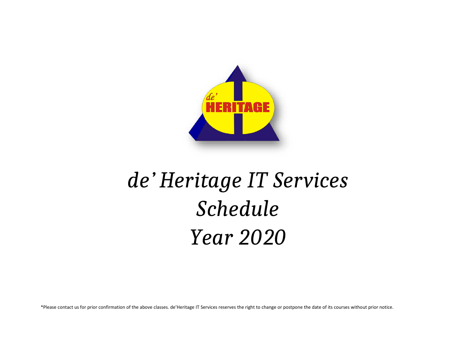

# *de' Heritage IT Services Schedule Year 2020*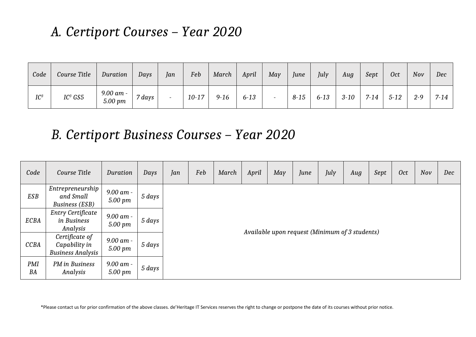#### *A. Certiport Courses – Year 2020*

| Code   | Course Title        | Duration             | Days        | Jan | Feb       | March    | April    | May                      | June     | July     | Aug      | Sept     | <b>Oct</b> | Nov     | Dec      |
|--------|---------------------|----------------------|-------------|-----|-----------|----------|----------|--------------------------|----------|----------|----------|----------|------------|---------|----------|
| $IC^3$ | IC <sup>3</sup> GS5 | 9.00 am -<br>5.00 pm | $7 \, days$ |     | $10 - 17$ | $9 - 16$ | $6 - 13$ | $\overline{\phantom{0}}$ | $8 - 15$ | $6 - 13$ | $3 - 10$ | $7 - 14$ | $5 - 12$   | $2 - 9$ | $7 - 14$ |

#### *B. Certiport Business Courses – Year 2020*

| Code        | Course Title                                                | Duration             | Days   | Jan | Feb | March | April | May | June                                           | July | Aug | Sept | <b>Oct</b> | Nov | Dec |
|-------------|-------------------------------------------------------------|----------------------|--------|-----|-----|-------|-------|-----|------------------------------------------------|------|-----|------|------------|-----|-----|
| ESB         | Entrepreneurship<br>and Small<br><b>Business</b> (ESB)      | 9.00 am -<br>5.00 pm | 5 days |     |     |       |       |     |                                                |      |     |      |            |     |     |
| ECBA        | Entry Certificate<br>in Business<br>Analysis                | 9.00 am -<br>5.00 pm | 5 days |     |     |       |       |     | Available upon request (Minimum of 3 students) |      |     |      |            |     |     |
| <b>CCBA</b> | Certificate of<br>Capability in<br><b>Business Analysis</b> | 9.00 am -<br>5.00 pm | 5 days |     |     |       |       |     |                                                |      |     |      |            |     |     |
| PMI<br>BA   | PM in Business<br>Analysis                                  | 9.00 am -<br>5.00 pm | 5 days |     |     |       |       |     |                                                |      |     |      |            |     |     |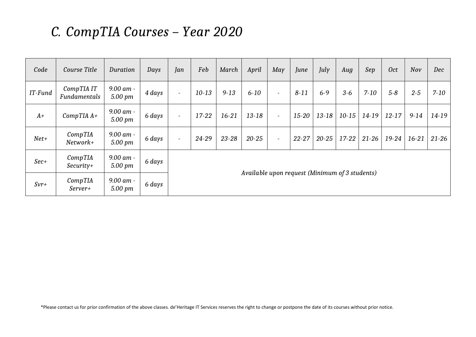#### *C. CompTIA Courses – Year 2020*

| Code    | Course Title               | Duration               | Days   | Jan                      | Feb       | March     | April                                          | May                      | June      | July      | Aug       | Sep       | <b>Oct</b> | Nov      | Dec       |
|---------|----------------------------|------------------------|--------|--------------------------|-----------|-----------|------------------------------------------------|--------------------------|-----------|-----------|-----------|-----------|------------|----------|-----------|
| IT-Fund | CompTIA IT<br>Fundamentals | 9.00 am -<br>5.00 pm   | 4 days | $\overline{\phantom{a}}$ | $10-13$   | $9 - 13$  | $6 - 10$                                       | $\overline{\phantom{a}}$ | $8 - 11$  | $6 - 9$   | $3-6$     | $7 - 10$  | $5 - 8$    | $2 - 5$  | $7 - 10$  |
| $A+$    | $CompTIA A+$               | 9.00 am -<br>5.00 pm   | 6 days | $\overline{\phantom{a}}$ | $17 - 22$ | $16-21$   | $13 - 18$                                      | $\sim$                   | 15-20     | $13 - 18$ | $10 - 15$ | 14-19     | $12 - 17$  | $9 - 14$ | 14-19     |
| $Net+$  | CompTIA<br>Network+        | 9.00 am -<br>5.00 pm   | 6 days | $\overline{\phantom{a}}$ | $24 - 29$ | $23 - 28$ | $20 - 25$                                      | $\overline{\phantom{a}}$ | $22 - 27$ | $20 - 25$ | $17-22$   | $21 - 26$ | $19-24$    | $16-21$  | $21 - 26$ |
| $Sec+$  | CompTIA<br>$Security+$     | 9.00 am -<br>5.00 pm   | 6 days |                          |           |           |                                                |                          |           |           |           |           |            |          |           |
| $Svr+$  | CompTIA<br>Server+         | $9.00$ am -<br>5.00 pm | 6 days |                          |           |           | Available upon request (Minimum of 3 students) |                          |           |           |           |           |            |          |           |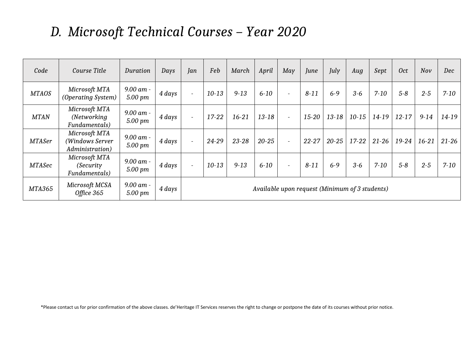## *D. Microsoft Technical Courses – Year 2020*

| Code          | Course Title                                        | Duration                           | Days   | Jan                      | Feb       | March     | April                                          | May                      | June      | July      | Aug       | Sept      | <b>Oct</b> | Nov       | Dec       |
|---------------|-----------------------------------------------------|------------------------------------|--------|--------------------------|-----------|-----------|------------------------------------------------|--------------------------|-----------|-----------|-----------|-----------|------------|-----------|-----------|
| <b>MTAOS</b>  | Microsoft MTA<br>(Operating System)                 | 9.00 am -<br>$5.00 \; \mathrm{pm}$ | 4 days | $\overline{\phantom{a}}$ | $10-13$   | $9 - 13$  | $6 - 10$                                       | $\overline{\phantom{a}}$ | $8 - 11$  | $6 - 9$   | $3 - 6$   | $7 - 10$  | $5 - 8$    | $2 - 5$   | $7 - 10$  |
| <b>MTAN</b>   | Microsoft MTA<br>(Networking)<br>Fundamentals)      | 9.00 am -<br>$5.00 \; \mathrm{pm}$ | 4 days | $\sim$                   | $17 - 22$ | $16-21$   | $13 - 18$                                      | $\overline{a}$           | 15-20     | $13 - 18$ | $10 - 15$ | 14-19     | $12 - 17$  | $9 - 14$  | 14-19     |
| <b>MTASer</b> | Microsoft MTA<br>(Windows Server<br>Administration) | $9.00$ am -<br>5.00 pm             | 4 days | $\sim$                   | $24 - 29$ | $23 - 28$ | $20 - 25$                                      | $\overline{\phantom{a}}$ | $22 - 27$ | $20 - 25$ | $17-22$   | $21 - 26$ | $19-24$    | $16 - 21$ | $21 - 26$ |
| <b>MTASec</b> | Microsoft MTA<br>(Security)<br>Fundamentals)        | 9.00 am -<br>5.00 pm               | 4 days | $\overline{\phantom{0}}$ | $10 - 13$ | $9 - 13$  | $6 - 10$                                       | $\overline{\phantom{a}}$ | $8 - 11$  | $6 - 9$   | $3 - 6$   | $7 - 10$  | $5 - 8$    | $2 - 5$   | $7 - 10$  |
| <b>MTA365</b> | Microsoft MCSA<br>Office 365                        | $9.00$ am -<br>5.00 pm             | 4 days |                          |           |           | Available upon request (Minimum of 3 students) |                          |           |           |           |           |            |           |           |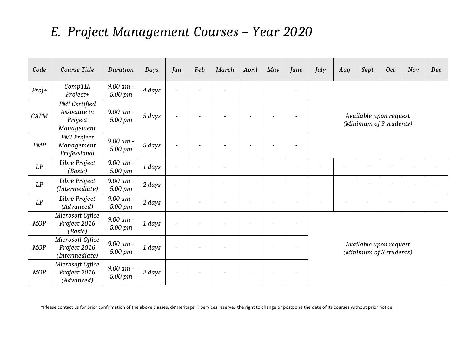## *E. Project Management Courses – Year 2020*

| Code        | Course Title                                           | Duration               | Days   | Jan                      | Feb                      | March | April          | May | June | July | Aug | Sept                                              | <b>Oct</b>     | Nov | Dec |
|-------------|--------------------------------------------------------|------------------------|--------|--------------------------|--------------------------|-------|----------------|-----|------|------|-----|---------------------------------------------------|----------------|-----|-----|
| $Proj+$     | CompTIA<br>Project+                                    | 9.00 am -<br>5.00 pm   | 4 days | $\sim$                   |                          |       |                |     |      |      |     |                                                   |                |     |     |
| <b>CAPM</b> | PMI Certified<br>Associate in<br>Project<br>Management | 9.00 am -<br>5.00 pm   | 5 days | $\overline{\phantom{a}}$ |                          |       |                |     |      |      |     | Available upon request<br>(Minimum of 3 students) |                |     |     |
| <b>PMP</b>  | PMI Project<br>Management<br>Professional              | $9.00$ am -<br>5.00 pm | 5 days | $\sim$                   |                          |       |                |     |      |      |     |                                                   |                |     |     |
| LP          | Libre Project<br>(Basic)                               | $9.00$ am -<br>5.00 pm | 1 days |                          |                          |       |                |     |      |      |     |                                                   |                |     |     |
| LP          | Libre Project<br>(Intermediate)                        | 9.00 am -<br>5.00 pm   | 2 days | $\overline{\phantom{a}}$ | $\overline{a}$           |       | $\overline{a}$ |     |      |      |     | $\overline{a}$                                    | $\overline{a}$ |     |     |
| LP          | Libre Project<br>(Advanced)                            | 9.00 am -<br>5.00 pm   | 2 days | $\overline{\phantom{a}}$ | $\overline{\phantom{a}}$ |       | $\overline{a}$ |     |      |      |     | $\overline{\phantom{0}}$                          | $\overline{a}$ |     |     |
| <b>MOP</b>  | Microsoft Office<br>Project 2016<br>(Basic)            | 9.00 am -<br>5.00 pm   | 1 days | $\sim$                   | $\overline{a}$           |       |                |     |      |      |     |                                                   |                |     |     |
| <b>MOP</b>  | Microsoft Office<br>Project 2016<br>(Intermediate)     | 9.00 am -<br>5.00 pm   | 1 days | $\overline{\phantom{a}}$ |                          |       |                |     |      |      |     | Available upon request<br>(Minimum of 3 students) |                |     |     |
| <b>MOP</b>  | Microsoft Office<br>Project 2016<br>(Advanced)         | $9.00$ am -<br>5.00 pm | 2 days | $\overline{\phantom{a}}$ |                          |       |                |     |      |      |     |                                                   |                |     |     |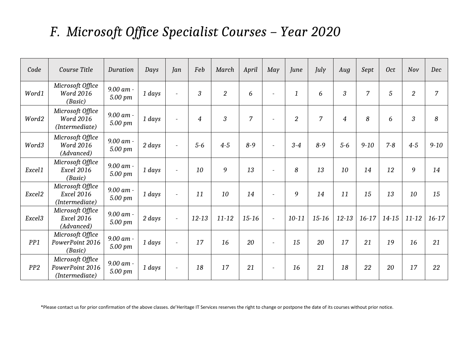## *F. Microsoft Office Specialist Courses – Year 2020*

| Code               | Course Title                                            | Duration             | Days   | Jan                      | Feb            | March          | April          | May                      | June           | July           | Aug            | Sept     | <b>Oct</b> | Nov            | Dec            |
|--------------------|---------------------------------------------------------|----------------------|--------|--------------------------|----------------|----------------|----------------|--------------------------|----------------|----------------|----------------|----------|------------|----------------|----------------|
| Word1              | Microsoft Office<br><b>Word 2016</b><br>(Basic)         | 9.00 am -<br>5.00 pm | 1 days | $\blacksquare$           | $\mathfrak{Z}$ | $\overline{2}$ | 6              | $\overline{\phantom{a}}$ | $\mathbf{1}$   | 6              | 3              | 7        | 5          | $\overline{2}$ | $\overline{7}$ |
| Word2              | Microsoft Office<br><b>Word 2016</b><br>(Intermediate)  | 9.00 am -<br>5.00 pm | 1 days | $\overline{\phantom{a}}$ | $\overline{4}$ | $\mathfrak{Z}$ | $\overline{7}$ | $\overline{\phantom{a}}$ | $\overline{2}$ | $\overline{7}$ | $\overline{4}$ | 8        | 6          | 3              | 8              |
| Word3              | Microsoft Office<br><b>Word 2016</b><br>(Advanced)      | 9.00 am -<br>5.00 pm | 2 days | $\overline{a}$           | $5-6$          | $4 - 5$        | $8 - 9$        | $\overline{\phantom{a}}$ | $3 - 4$        | $8 - 9$        | $5-6$          | $9 - 10$ | $7 - 8$    | $4-5$          | $9 - 10$       |
| Excel1             | Microsoft Office<br><b>Excel 2016</b><br>(Basic)        | 9.00 am -<br>5.00 pm | 1 days | $\overline{\phantom{a}}$ | 10             | 9              | 13             | $\overline{\phantom{a}}$ | 8              | 13             | 10             | 14       | 12         | 9              | 14             |
| Excel <sub>2</sub> | Microsoft Office<br><b>Excel 2016</b><br>(Intermediate) | 9.00 am -<br>5.00 pm | 1 days | $\overline{\phantom{a}}$ | 11             | 10             | 14             | $\overline{\phantom{a}}$ | 9              | 14             | 11             | 15       | 13         | 10             | 15             |
| Excel <sub>3</sub> | Microsoft Office<br><b>Excel 2016</b><br>(Advanced)     | 9.00 am -<br>5.00 pm | 2 days | $\overline{\phantom{a}}$ | $12 - 13$      | $11 - 12$      | $15 - 16$      | $\overline{\phantom{a}}$ | $10 - 11$      | $15 - 16$      | $12 - 13$      | $16-17$  | $14 - 15$  | $11 - 12$      | $16-17$        |
| PP <sub>1</sub>    | Microsoft Office<br>PowerPoint 2016<br>(Basic)          | 9.00 am -<br>5.00 pm | 1 days | $\overline{\phantom{a}}$ | 17             | 16             | 20             | $\overline{\phantom{a}}$ | 15             | 20             | 17             | 21       | 19         | 16             | 21             |
| PP2                | Microsoft Office<br>PowerPoint 2016<br>(Intermediate)   | 9.00 am -<br>5.00 pm | 1 days | $\overline{\phantom{a}}$ | 18             | 17             | 21             | $\overline{\phantom{a}}$ | 16             | 21             | 18             | 22       | 20         | 17             | 22             |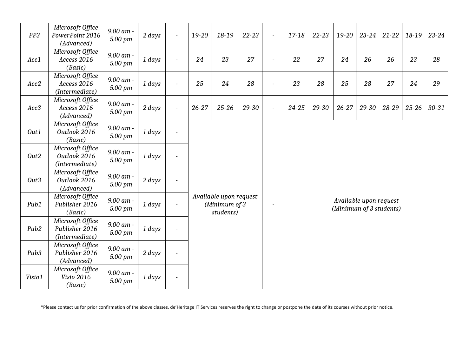| PP3              | Microsoft Office<br>PowerPoint 2016<br>(Advanced)    | 9.00 am -<br>5.00 pm | $2 \, days$ | $\sim$                   | 19-20     | 18-19                                                | $22 - 23$ | $\overline{a}$           | 17-18     | $22 - 23$ | 19-20     | $23 - 24$                                         | $21 - 22$ | 18-19     | $23 - 24$ |
|------------------|------------------------------------------------------|----------------------|-------------|--------------------------|-----------|------------------------------------------------------|-----------|--------------------------|-----------|-----------|-----------|---------------------------------------------------|-----------|-----------|-----------|
| Acc1             | Microsoft Office<br>Access 2016<br>(Basic)           | 9.00 am -<br>5.00 pm | 1 days      | $\sim$                   | 24        | 23                                                   | 27        | $\blacksquare$           | 22        | 27        | 24        | 26                                                | 26        | 23        | 28        |
| Acc2             | Microsoft Office<br>Access 2016<br>(Intermediate)    | 9.00 am -<br>5.00 pm | 1 days      |                          | 25        | 24                                                   | 28        | $\overline{\phantom{m}}$ | 23        | 28        | 25        | 28                                                | 27        | 24        | 29        |
| Acc3             | Microsoft Office<br>Access 2016<br>(Advanced)        | 9.00 am -<br>5.00 pm | $2 \, days$ |                          | $26 - 27$ | $25 - 26$                                            | 29-30     | $\overline{\phantom{a}}$ | $24 - 25$ | 29-30     | $26 - 27$ | 29-30                                             | $28 - 29$ | $25 - 26$ | $30 - 31$ |
| Out1             | Microsoft Office<br>Outlook 2016<br>(Basic)          | 9.00 am -<br>5.00 pm | 1 days      |                          |           |                                                      |           |                          |           |           |           |                                                   |           |           |           |
| Out <sub>2</sub> | Microsoft Office<br>Outlook 2016<br>(Intermediate)   | 9.00 am -<br>5.00 pm | 1 days      |                          |           |                                                      |           |                          |           |           |           |                                                   |           |           |           |
| Out <sub>3</sub> | Microsoft Office<br>Outlook 2016<br>(Advanced)       | 9.00 am -<br>5.00 pm | 2 days      | $\blacksquare$           |           |                                                      |           |                          |           |           |           |                                                   |           |           |           |
| Pub1             | Microsoft Office<br>Publisher 2016<br>(Basic)        | 9.00 am -<br>5.00 pm | 1 days      | $\overline{\phantom{a}}$ |           | Available upon request<br>(Minimum of 3<br>students) |           |                          |           |           |           | Available upon request<br>(Minimum of 3 students) |           |           |           |
| Pub <sub>2</sub> | Microsoft Office<br>Publisher 2016<br>(Intermediate) | 9.00 am -<br>5.00 pm | 1 days      |                          |           |                                                      |           |                          |           |           |           |                                                   |           |           |           |
| Pub <sub>3</sub> | Microsoft Office<br>Publisher 2016<br>(Advanced)     | 9.00 am -<br>5.00 pm | 2 days      |                          |           |                                                      |           |                          |           |           |           |                                                   |           |           |           |
| Visio1           | Microsoft Office<br><b>Visio 2016</b><br>(Basic)     | 9.00 am -<br>5.00 pm | 1 days      | $\overline{\phantom{a}}$ |           |                                                      |           |                          |           |           |           |                                                   |           |           |           |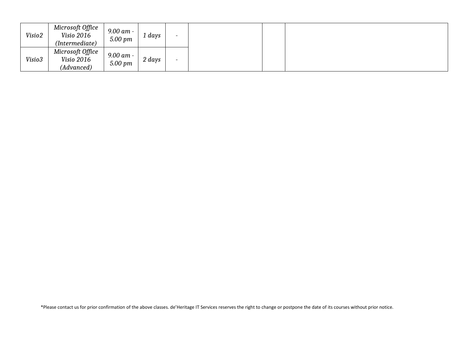| Visio2 | Microsoft Office<br>Visio 2016<br>(Intermediate) | 9.00 am -<br>5.00 pm | . days | $\overline{\phantom{0}}$ |
|--------|--------------------------------------------------|----------------------|--------|--------------------------|
| Visio3 | Microsoft Office<br>Visio 2016<br>(Advanced)     | 9.00 am -<br>5.00 pm | 2 days | $\overline{\phantom{0}}$ |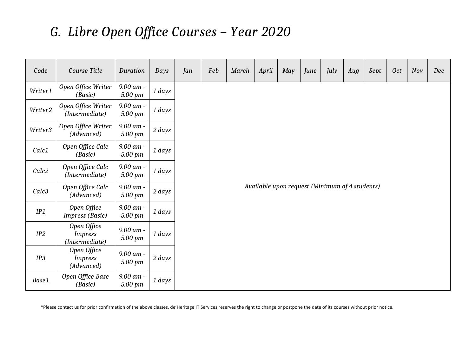## *G. Libre Open Office Courses – Year 2020*

| Code              | Course Title                                    | Duration             | Days        | Jan | Feb | March | April                                          | May | June | July | Aug | Sept | <b>Oct</b> | Nov | Dec |
|-------------------|-------------------------------------------------|----------------------|-------------|-----|-----|-------|------------------------------------------------|-----|------|------|-----|------|------------|-----|-----|
| Writer1           | Open Office Writer<br>(Basic)                   | 9.00 am -<br>5.00 pm | 1 days      |     |     |       |                                                |     |      |      |     |      |            |     |     |
| Writer2           | Open Office Writer<br>(Intermediate)            | 9.00 am -<br>5.00 pm | 1 days      |     |     |       |                                                |     |      |      |     |      |            |     |     |
| Writer3           | Open Office Writer<br>(Advanced)                | 9.00 am -<br>5.00 pm | $2 \, days$ |     |     |       |                                                |     |      |      |     |      |            |     |     |
| Calc1             | Open Office Calc<br>(Basic)                     | 9.00 am -<br>5.00 pm | 1 days      |     |     |       |                                                |     |      |      |     |      |            |     |     |
| Calc <sub>2</sub> | Open Office Calc<br>(Intermediate)              | 9.00 am -<br>5.00 pm | 1 days      |     |     |       |                                                |     |      |      |     |      |            |     |     |
| Calc <sub>3</sub> | Open Office Calc<br>(Advanced)                  | 9.00 am -<br>5.00 pm | $2 \, days$ |     |     |       | Available upon request (Minimum of 4 students) |     |      |      |     |      |            |     |     |
| IP1               | Open Office<br>Impress (Basic)                  | 9.00 am -<br>5.00 pm | $1 \, days$ |     |     |       |                                                |     |      |      |     |      |            |     |     |
| IP2               | Open Office<br><b>Impress</b><br>(Intermediate) | 9.00 am -<br>5.00 pm | 1 days      |     |     |       |                                                |     |      |      |     |      |            |     |     |
| IP3               | Open Office<br><b>Impress</b><br>(Advanced)     | 9.00 am -<br>5.00 pm | 2 days      |     |     |       |                                                |     |      |      |     |      |            |     |     |
| Base1             | Open Office Base<br>(Basic)                     | 9.00 am -<br>5.00 pm | $1 \, days$ |     |     |       |                                                |     |      |      |     |      |            |     |     |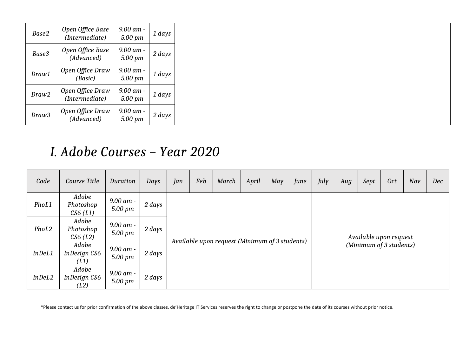| Base2 | Open Office Base<br>(Intermediate) | 9.00 am -<br>5.00 pm   | 1 days      |
|-------|------------------------------------|------------------------|-------------|
| Base3 | Open Office Base<br>(Advanced)     | 9.00 am -<br>5.00 pm   | 2 days      |
| Draw1 | Open Office Draw<br>(Basic)        | $9.00$ am -<br>5.00 pm | 1 days      |
| Draw2 | Open Office Draw<br>(Intermediate) | 9.00 am -<br>5.00 pm   | ı days      |
| Draw3 | Open Office Draw<br>(Advanced)     | 9.00 am -<br>5.00 pm   | $2 \, days$ |

#### *I. Adobe Courses – Year 2020*

| Code   | Course Title                  | Duration             | Days   | Jan | Feb | March                                          | April | May | June | July | Aug | Sept                    | <b>Oct</b> | Nov | Dec |
|--------|-------------------------------|----------------------|--------|-----|-----|------------------------------------------------|-------|-----|------|------|-----|-------------------------|------------|-----|-----|
| PhoL1  | Adobe<br>Photoshop<br>CS6(L1) | 9.00 am -<br>5.00 pm | 2 days |     |     |                                                |       |     |      |      |     |                         |            |     |     |
| PhoL2  | Adobe<br>Photoshop<br>CS6(L2) | 9.00 am -<br>5.00 pm | 2 days |     |     |                                                |       |     |      |      |     | Available upon request  |            |     |     |
| InDeL1 | Adobe<br>InDesign CS6<br>(L1) | 9.00 am -<br>5.00 pm | 2 days |     |     | Available upon request (Minimum of 3 students) |       |     |      |      |     | (Minimum of 3 students) |            |     |     |
| InDeL2 | Adobe<br>InDesign CS6<br>(L2) | 9.00 am -<br>5.00 pm | 2 days |     |     |                                                |       |     |      |      |     |                         |            |     |     |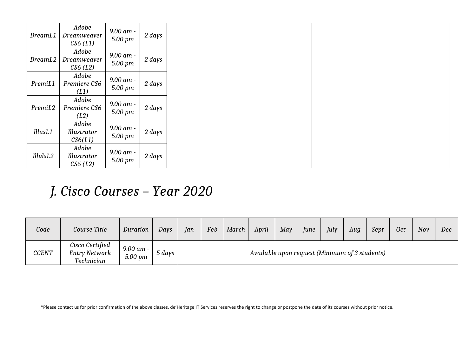| DreamL1  | Adobe<br>Dreamweaver<br>CS6(L1) | 9.00 am -<br>5.00 pm | 2 days |
|----------|---------------------------------|----------------------|--------|
| DreamL2  | Adobe<br>Dreamweaver<br>CS6(L2) | 9.00 am -<br>5.00 pm | 2 days |
| PremiL1  | Adobe<br>Premiere CS6<br>(L1)   | 9.00 am -<br>5.00 pm | 2 days |
| PremiL2  | Adobe<br>Premiere CS6<br>(L2)   | 9.00 am -<br>5.00 pm | 2 days |
| IllusL1  | Adobe<br>Illustrator<br>CS6(L1) | 9.00 am -<br>5.00 pm | 2 days |
| IllulsL2 | Adobe<br>Illustrator<br>CS6(L2) | 9.00 am -<br>5.00 pm | 2 days |

#### *J. Cisco Courses – Year 2020*

| Code         | Course Title                                          | Duration                       | Days   | Ian                                            | Feb | March | April | May | June | July | Aug | Sept | <b>Oct</b> | Nov | Dec |
|--------------|-------------------------------------------------------|--------------------------------|--------|------------------------------------------------|-----|-------|-------|-----|------|------|-----|------|------------|-----|-----|
| <b>CCENT</b> | Cisco Certified<br><b>Entry Network</b><br>Technician | 9.00 am -<br>$5.00 \text{ pm}$ | 5 days | Available upon request (Minimum of 3 students) |     |       |       |     |      |      |     |      |            |     |     |